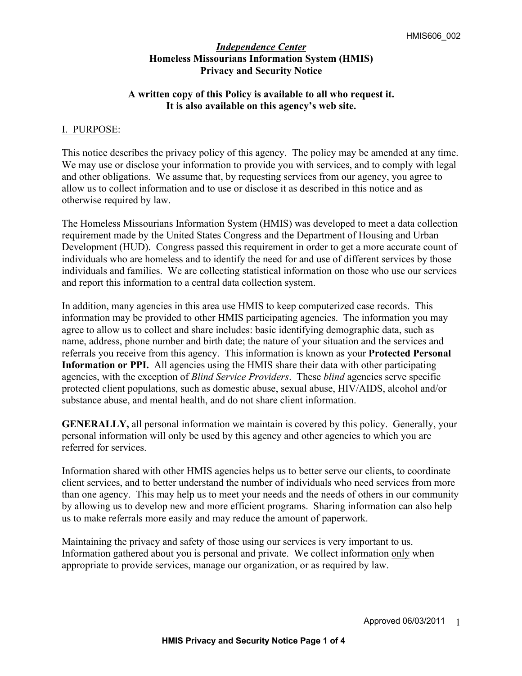# **A written copy of this Policy is available to all who request it. It is also available on this agency's web site.**

# I. PURPOSE:

This notice describes the privacy policy of this agency. The policy may be amended at any time. We may use or disclose your information to provide you with services, and to comply with legal and other obligations. We assume that, by requesting services from our agency, you agree to allow us to collect information and to use or disclose it as described in this notice and as otherwise required by law.

The Homeless Missourians Information System (HMIS) was developed to meet a data collection requirement made by the United States Congress and the Department of Housing and Urban Development (HUD). Congress passed this requirement in order to get a more accurate count of individuals who are homeless and to identify the need for and use of different services by those individuals and families. We are collecting statistical information on those who use our services and report this information to a central data collection system.

In addition, many agencies in this area use HMIS to keep computerized case records. This information may be provided to other HMIS participating agencies. The information you may agree to allow us to collect and share includes: basic identifying demographic data, such as name, address, phone number and birth date; the nature of your situation and the services and referrals you receive from this agency. This information is known as your **Protected Personal Information or PPI.** All agencies using the HMIS share their data with other participating agencies, with the exception of *Blind Service Providers*. These *blind* agencies serve specific protected client populations, such as domestic abuse, sexual abuse, HIV/AIDS, alcohol and/or substance abuse, and mental health, and do not share client information.

**GENERALLY,** all personal information we maintain is covered by this policy. Generally, your personal information will only be used by this agency and other agencies to which you are referred for services.

Information shared with other HMIS agencies helps us to better serve our clients, to coordinate client services, and to better understand the number of individuals who need services from more than one agency. This may help us to meet your needs and the needs of others in our community by allowing us to develop new and more efficient programs. Sharing information can also help us to make referrals more easily and may reduce the amount of paperwork.

Maintaining the privacy and safety of those using our services is very important to us. Information gathered about you is personal and private. We collect information only when appropriate to provide services, manage our organization, or as required by law.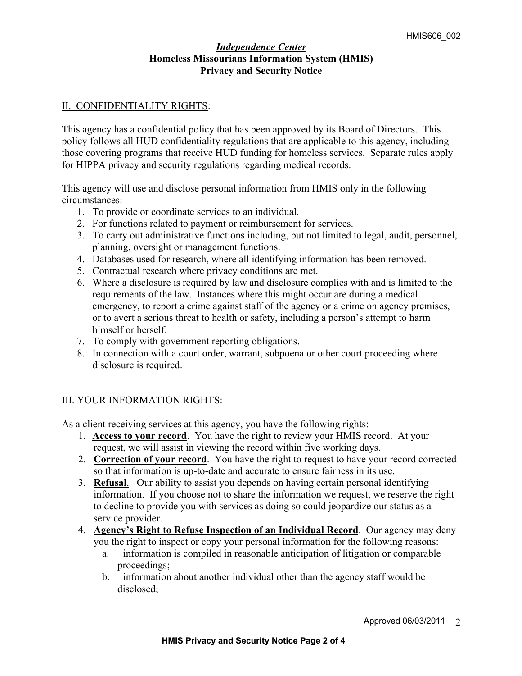### II. CONFIDENTIALITY RIGHTS:

This agency has a confidential policy that has been approved by its Board of Directors. This policy follows all HUD confidentiality regulations that are applicable to this agency, including those covering programs that receive HUD funding for homeless services. Separate rules apply for HIPPA privacy and security regulations regarding medical records.

This agency will use and disclose personal information from HMIS only in the following circumstances:

- 1. To provide or coordinate services to an individual.
- 2. For functions related to payment or reimbursement for services.
- 3. To carry out administrative functions including, but not limited to legal, audit, personnel, planning, oversight or management functions.
- 4. Databases used for research, where all identifying information has been removed.
- 5. Contractual research where privacy conditions are met.
- 6. Where a disclosure is required by law and disclosure complies with and is limited to the requirements of the law. Instances where this might occur are during a medical emergency, to report a crime against staff of the agency or a crime on agency premises, or to avert a serious threat to health or safety, including a person's attempt to harm himself or herself.
- 7. To comply with government reporting obligations.
- 8. In connection with a court order, warrant, subpoena or other court proceeding where disclosure is required.

# III. YOUR INFORMATION RIGHTS:

As a client receiving services at this agency, you have the following rights:

- 1. **Access to your record**. You have the right to review your HMIS record. At your request, we will assist in viewing the record within five working days.
- 2. **Correction of your record**. You have the right to request to have your record corrected so that information is up-to-date and accurate to ensure fairness in its use.
- 3. **Refusal**. Our ability to assist you depends on having certain personal identifying information. If you choose not to share the information we request, we reserve the right to decline to provide you with services as doing so could jeopardize our status as a service provider.
- 4. **Agency's Right to Refuse Inspection of an Individual Record**. Our agency may deny you the right to inspect or copy your personal information for the following reasons:
	- a. information is compiled in reasonable anticipation of litigation or comparable proceedings;
	- b. information about another individual other than the agency staff would be disclosed;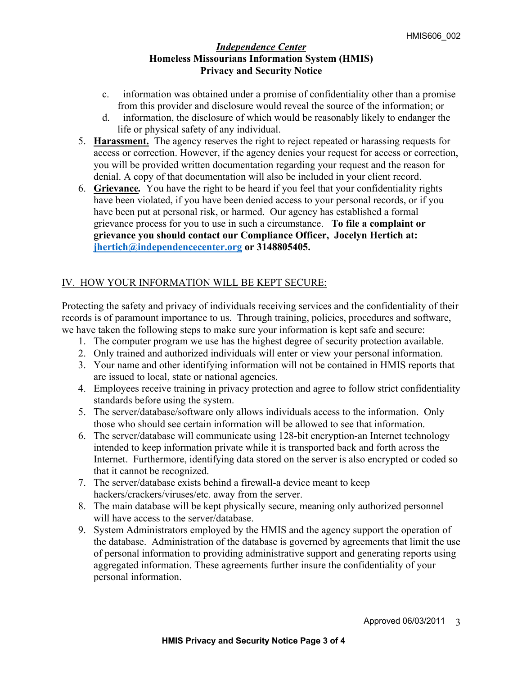- c. information was obtained under a promise of confidentiality other than a promise from this provider and disclosure would reveal the source of the information; or
- d. information, the disclosure of which would be reasonably likely to endanger the life or physical safety of any individual.
- 5. **Harassment.**The agency reserves the right to reject repeated or harassing requests for access or correction. However, if the agency denies your request for access or correction, you will be provided written documentation regarding your request and the reason for denial. A copy of that documentation will also be included in your client record.
- 6. **Grievance***.* You have the right to be heard if you feel that your confidentiality rights have been violated, if you have been denied access to your personal records, or if you have been put at personal risk, or harmed. Our agency has established a formal grievance process for you to use in such a circumstance.**To file a complaint or grievance you should contact our Compliance Officer, Jocelyn Hertich at: jhertich@independencecenter.org or 3148805405.**

# IV. HOW YOUR INFORMATION WILL BE KEPT SECURE:

Protecting the safety and privacy of individuals receiving services and the confidentiality of their records is of paramount importance to us. Through training, policies, procedures and software, we have taken the following steps to make sure your information is kept safe and secure:

- 1. The computer program we use has the highest degree of security protection available.
- 2. Only trained and authorized individuals will enter or view your personal information.
- 3. Your name and other identifying information will not be contained in HMIS reports that are issued to local, state or national agencies.
- 4. Employees receive training in privacy protection and agree to follow strict confidentiality standards before using the system.
- 5. The server/database/software only allows individuals access to the information. Only those who should see certain information will be allowed to see that information.
- 6. The server/database will communicate using 128-bit encryption-an Internet technology intended to keep information private while it is transported back and forth across the Internet. Furthermore, identifying data stored on the server is also encrypted or coded so that it cannot be recognized.
- 7. The server/database exists behind a firewall-a device meant to keep hackers/crackers/viruses/etc. away from the server.
- 8. The main database will be kept physically secure, meaning only authorized personnel will have access to the server/database.
- 9. System Administrators employed by the HMIS and the agency support the operation of the database. Administration of the database is governed by agreements that limit the use of personal information to providing administrative support and generating reports using aggregated information. These agreements further insure the confidentiality of your personal information.